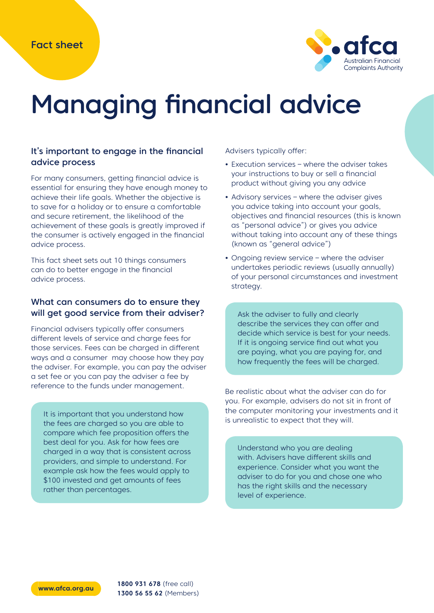

# Managing financial advice

#### It's important to engage in the financial advice process

For many consumers, getting financial advice is essential for ensuring they have enough money to achieve their life goals. Whether the objective is to save for a holiday or to ensure a comfortable and secure retirement, the likelihood of the achievement of these goals is greatly improved if the consumer is actively engaged in the financial advice process.

This fact sheet sets out 10 things consumers can do to better engage in the financial advice process.

#### What can consumers do to ensure they will get good service from their adviser?

Financial advisers typically offer consumers different levels of service and charge fees for those services. Fees can be charged in different ways and a consumer may choose how they pay the adviser. For example, you can pay the adviser a set fee or you can pay the adviser a fee by reference to the funds under management.

It is important that you understand how the fees are charged so you are able to compare which fee proposition offers the best deal for you. Ask for how fees are charged in a way that is consistent across providers, and simple to understand. For example ask how the fees would apply to \$100 invested and get amounts of fees rather than percentages.

Advisers typically offer:

- **•** Execution services where the adviser takes your instructions to buy or sell a financial product without giving you any advice
- **•** Advisory services where the adviser gives you advice taking into account your goals, objectives and financial resources (this is known as "personal advice") or gives you advice without taking into account any of these things (known as "general advice")
- **•** Ongoing review service where the adviser undertakes periodic reviews (usually annually) of your personal circumstances and investment strategy.

Ask the adviser to fully and clearly describe the services they can offer and decide which service is best for your needs. If it is ongoing service find out what you are paying, what you are paying for, and how frequently the fees will be charged.

Be realistic about what the adviser can do for you. For example, advisers do not sit in front of the computer monitoring your investments and it is unrealistic to expect that they will.

Understand who you are dealing with. Advisers have different skills and experience. Consider what you want the adviser to do for you and chose one who has the right skills and the necessary level of experience.

**www.afca.org.au 1800 931 678** (free call) **1300 56 55 62** (Members)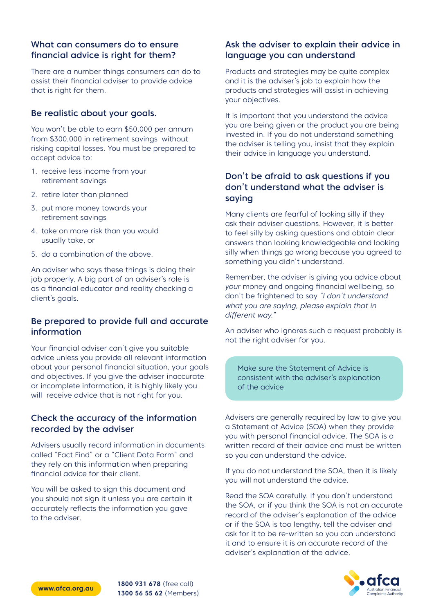## What can consumers do to ensure financial advice is right for them?

There are a number things consumers can do to assist their financial adviser to provide advice that is right for them.

#### Be realistic about your goals.

You won't be able to earn \$50,000 per annum from \$300,000 in retirement savings without risking capital losses. You must be prepared to accept advice to:

- 1. receive less income from your retirement savings
- 2. retire later than planned
- 3. put more money towards your retirement savings
- 4. take on more risk than you would usually take, or
- 5. do a combination of the above.

An adviser who says these things is doing their job properly. A big part of an adviser's role is as a financial educator and reality checking a client's goals.

## Be prepared to provide full and accurate information

Your financial adviser can't give you suitable advice unless you provide all relevant information about your personal financial situation, your goals and objectives. If you give the adviser inaccurate or incomplete information, it is highly likely you will receive advice that is not right for you.

## Check the accuracy of the information recorded by the adviser

Advisers usually record information in documents called "Fact Find" or a "Client Data Form" and they rely on this information when preparing financial advice for their client.

You will be asked to sign this document and you should not sign it unless you are certain it accurately reflects the information you gave to the adviser.

## Ask the adviser to explain their advice in language you can understand

Products and strategies may be quite complex and it is the adviser's job to explain how the products and strategies will assist in achieving your objectives.

It is important that you understand the advice you are being given or the product you are being invested in. If you do not understand something the adviser is telling you, insist that they explain their advice in language you understand.

## Don't be afraid to ask questions if you don't understand what the adviser is saying

Many clients are fearful of looking silly if they ask their adviser questions. However, it is better to feel silly by asking questions and obtain clear answers than looking knowledgeable and looking silly when things go wrong because you agreed to something you didn't understand.

Remember, the adviser is giving you advice about your money and ongoing financial wellbeing, so don't be frightened to say "I don't understand what you are saying, please explain that in different way."

An adviser who ignores such a request probably is not the right adviser for you.

Make sure the Statement of Advice is consistent with the adviser's explanation of the advice

Advisers are generally required by law to give you a Statement of Advice (SOA) when they provide you with personal financial advice. The SOA is a written record of their advice and must be written so you can understand the advice.

If you do not understand the SOA, then it is likely you will not understand the advice.

Read the SOA carefully. If you don't understand the SOA, or if you think the SOA is not an accurate record of the adviser's explanation of the advice or if the SOA is too lengthy, tell the adviser and ask for it to be re-written so you can understand it and to ensure it is an accurate record of the adviser's explanation of the advice.



**www.afca.org.au 1800 931 678** (free call) **1300 56 55 62** (Members)